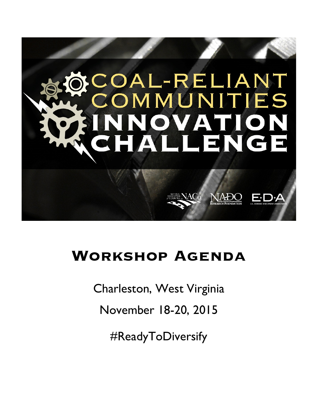

# **Workshop Agenda**

Charleston, West Virginia

November 18-20, 2015

#ReadyToDiversify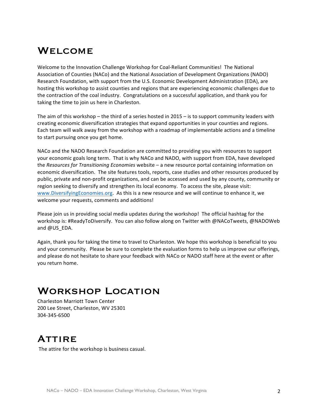## **WELCOME**

Welcome to the Innovation Challenge Workshop for Coal-Reliant Communities! The National Association of Counties (NACo) and the National Association of Development Organizations (NADO) Research Foundation, with support from the U.S. Economic Development Administration (EDA), are hosting this workshop to assist counties and regions that are experiencing economic challenges due to the contraction of the coal industry. Congratulations on a successful application, and thank you for taking the time to join us here in Charleston.

The aim of this workshop – the third of a series hosted in 2015 – is to support community leaders with creating economic diversification strategies that expand opportunities in your counties and regions. Each team will walk away from the workshop with a roadmap of implementable actions and a timeline to start pursuing once you get home.

NACo and the NADO Research Foundation are committed to providing you with resources to support your economic goals long term. That is why NACo and NADO, with support from EDA, have developed the *Resources for Transitioning Economies* website – a new resource portal containing information on economic diversification. The site features tools, reports, case studies and other resources produced by public, private and non-profit organizations, and can be accessed and used by any county, community or region seeking to diversify and strengthen its local economy. To access the site, please visit: www.DiversifyingEconomies.org. As this is a new resource and we will continue to enhance it, we welcome your requests, comments and additions!

Please join us in providing social media updates during the workshop! The official hashtag for the workshop is: #ReadyToDiversify. You can also follow along on Twitter with @NACoTweets, @NADOWeb and @US\_EDA.

Again, thank you for taking the time to travel to Charleston. We hope this workshop is beneficial to you and your community. Please be sure to complete the evaluation forms to help us improve our offerings, and please do not hesitate to share your feedback with NACo or NADO staff here at the event or after you return home.

## Workshop Location

Charleston Marriott Town Center 200 Lee Street, Charleston, WV 25301 304-345-6500

## **ATTIRE**

The attire for the workshop is business casual.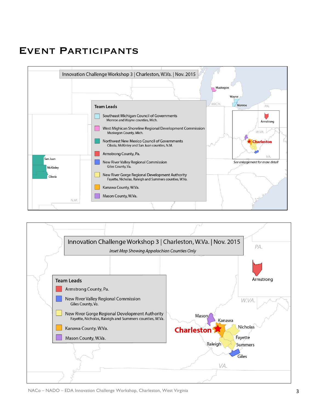# Event Participants



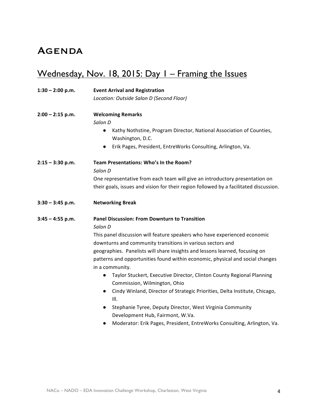## **AGENDA**

# Wednesday, Nov. 18, 2015: Day I - Framing the Issues

| $1:30 - 2:00$ p.m. | <b>Event Arrival and Registration</b>                                                                                                   |  |  |  |  |  |  |
|--------------------|-----------------------------------------------------------------------------------------------------------------------------------------|--|--|--|--|--|--|
|                    | Location: Outside Salon D (Second Floor)                                                                                                |  |  |  |  |  |  |
| $2:00 - 2:15$ p.m. | <b>Welcoming Remarks</b>                                                                                                                |  |  |  |  |  |  |
|                    | Salon D                                                                                                                                 |  |  |  |  |  |  |
|                    | Kathy Nothstine, Program Director, National Association of Counties,<br>$\bullet$<br>Washington, D.C.                                   |  |  |  |  |  |  |
|                    | Erik Pages, President, EntreWorks Consulting, Arlington, Va.<br>$\bullet$                                                               |  |  |  |  |  |  |
| $2:15 - 3:30$ p.m. | Team Presentations: Who's In the Room?                                                                                                  |  |  |  |  |  |  |
|                    | Salon D                                                                                                                                 |  |  |  |  |  |  |
|                    | One representative from each team will give an introductory presentation on                                                             |  |  |  |  |  |  |
|                    | their goals, issues and vision for their region followed by a facilitated discussion.                                                   |  |  |  |  |  |  |
| $3:30 - 3:45$ p.m. | <b>Networking Break</b>                                                                                                                 |  |  |  |  |  |  |
| $3:45 - 4:55$ p.m. | <b>Panel Discussion: From Downturn to Transition</b>                                                                                    |  |  |  |  |  |  |
|                    | Salon D                                                                                                                                 |  |  |  |  |  |  |
|                    | This panel discussion will feature speakers who have experienced economic<br>downturns and community transitions in various sectors and |  |  |  |  |  |  |
|                    | geographies. Panelists will share insights and lessons learned, focusing on                                                             |  |  |  |  |  |  |
|                    | patterns and opportunities found within economic, physical and social changes<br>in a community.                                        |  |  |  |  |  |  |
|                    | Taylor Stuckert, Executive Director, Clinton County Regional Planning<br>$\bullet$<br>Commission, Wilmington, Ohio                      |  |  |  |  |  |  |
|                    | Cindy Winland, Director of Strategic Priorities, Delta Institute, Chicago,<br>$\bullet$<br>III.                                         |  |  |  |  |  |  |
|                    | Stephanie Tyree, Deputy Director, West Virginia Community<br>$\bullet$<br>Development Hub, Fairmont, W.Va.                              |  |  |  |  |  |  |
|                    | Moderator: Erik Pages, President, EntreWorks Consulting, Arlington, Va.<br>$\bullet$                                                    |  |  |  |  |  |  |
|                    |                                                                                                                                         |  |  |  |  |  |  |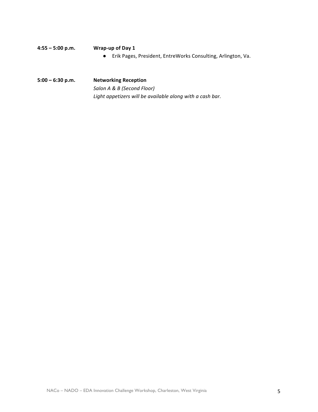| 4:55 – 5:00 p.m. | Wrap-up of Day 1                                               |
|------------------|----------------------------------------------------------------|
|                  | • Erik Pages, President, EntreWorks Consulting, Arlington, Va. |
|                  |                                                                |

**5:00 – 6:30 p.m. Networking Reception**  *Salon A & B (Second Floor)* Light appetizers will be available along with a cash bar.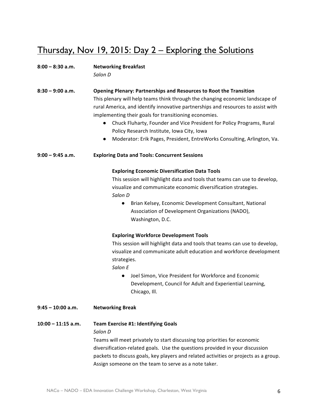## Thursday, Nov 19, 2015: Day 2 – Exploring the Solutions

#### 8:00 - 8:30 a.m. Networking Breakfast

*Salon D*

**8:30 – 9:00 a.m. Opening Plenary: Partnerships and Resources to Root the Transition** This plenary will help teams think through the changing economic landscape of rural America, and identify innovative partnerships and resources to assist with implementing their goals for transitioning economies.

- Chuck Fluharty, Founder and Vice President for Policy Programs, Rural Policy Research Institute, Iowa City, Iowa
- Moderator: Erik Pages, President, EntreWorks Consulting, Arlington, Va.

9:00 – 9:45 a.m. **Exploring Data and Tools: Concurrent Sessions** 

#### **Exploring Economic Diversification Data Tools**

This session will highlight data and tools that teams can use to develop, visualize and communicate economic diversification strategies. *Salon D*

● Brian Kelsey, Economic Development Consultant, National Association of Development Organizations (NADO), Washington, D.C.

#### **Exploring Workforce Development Tools**

This session will highlight data and tools that teams can use to develop, visualize and communicate adult education and workforce development strategies. 

*Salon E*

- Joel Simon, Vice President for Workforce and Economic Development, Council for Adult and Experiential Learning, Chicago, Ill.
- **9:45 – 10:00 a.m. Networking Break**

#### **10:00 – 11:15 a.m. Team Exercise #1: Identifying Goals**

*Salon D*

Teams will meet privately to start discussing top priorities for economic diversification-related goals. Use the questions provided in your discussion packets to discuss goals, key players and related activities or projects as a group. Assign someone on the team to serve as a note taker.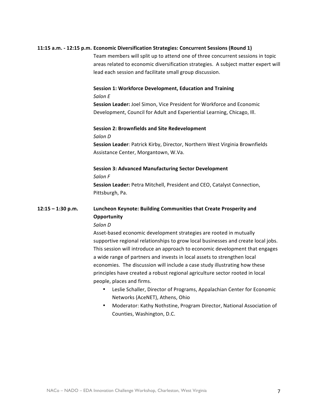#### **11:15 a.m. - 12:15 p.m. Economic Diversification Strategies: Concurrent Sessions (Round 1)**

Team members will split up to attend one of three concurrent sessions in topic areas related to economic diversification strategies. A subject matter expert will lead each session and facilitate small group discussion.

#### **Session 1: Workforce Development, Education and Training**

#### *Salon E*

**Session Leader:** Joel Simon, Vice President for Workforce and Economic Development, Council for Adult and Experiential Learning, Chicago, Ill.

#### **Session 2: Brownfields and Site Redevelopment**

*Salon D*

**Session Leader: Patrick Kirby, Director, Northern West Virginia Brownfields** Assistance Center, Morgantown, W.Va.

#### **Session 3: Advanced Manufacturing Sector Development**

*Salon F*

**Session Leader:** Petra Mitchell, President and CEO, Catalyst Connection, Pittsburgh, Pa.

### **12:15** – 1:30 p.m. Luncheon Keynote: Building Communities that Create Prosperity and **Opportunity**

#### *Salon D*

Asset-based economic development strategies are rooted in mutually supportive regional relationships to grow local businesses and create local jobs. This session will introduce an approach to economic development that engages a wide range of partners and invests in local assets to strengthen local economies. The discussion will include a case study illustrating how these principles have created a robust regional agriculture sector rooted in local people, places and firms.

- Leslie Schaller, Director of Programs, Appalachian Center for Economic Networks (AceNET), Athens, Ohio
- Moderator: Kathy Nothstine, Program Director, National Association of Counties, Washington, D.C.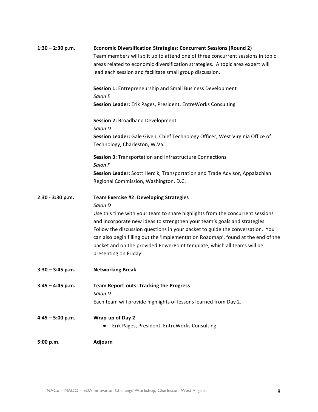| $1:30 - 2:30$ p.m. | <b>Economic Diversification Strategies: Concurrent Sessions (Round 2)</b>                                      |
|--------------------|----------------------------------------------------------------------------------------------------------------|
|                    | Team members will split up to attend one of three concurrent sessions in topic                                 |
|                    | areas related to economic diversification strategies. A topic area expert will                                 |
|                    | lead each session and facilitate small group discussion.                                                       |
|                    | Session 1: Entrepreneurship and Small Business Development                                                     |
|                    | Salon E                                                                                                        |
|                    | Session Leader: Erik Pages, President, EntreWorks Consulting                                                   |
|                    | <b>Session 2: Broadband Development</b>                                                                        |
|                    | Salon D                                                                                                        |
|                    | Session Leader: Gale Given, Chief Technology Officer, West Virginia Office of<br>Technology, Charleston, W.Va. |
|                    | Session 3: Transportation and Infrastructure Connections<br>Salon F                                            |
|                    | Session Leader: Scott Hercik, Transportation and Trade Advisor, Appalachian                                    |
|                    | Regional Commission, Washington, D.C.                                                                          |
| 2:30 - 3:30 p.m.   | Team Exercise #2: Developing Strategies                                                                        |
|                    | Salon D                                                                                                        |
|                    | Use this time with your team to share highlights from the concurrent sessions                                  |
|                    | and incorporate new ideas to strengthen your team's goals and strategies.                                      |
|                    | Follow the discussion questions in your packet to guide the conversation. You                                  |
|                    | can also begin filling out the 'Implementation Roadmap', found at the end of the                               |
|                    | packet and on the provided PowerPoint template, which all teams will be                                        |
|                    | presenting on Friday.                                                                                          |
| $3:30 - 3:45$ p.m. | <b>Networking Break</b>                                                                                        |
| $3:45 - 4:45$ p.m. | <b>Team Report-outs: Tracking the Progress</b>                                                                 |
|                    | Salon D                                                                                                        |
|                    | Each team will provide highlights of lessons learned from Day 2.                                               |
| $4:45 - 5:00$ p.m. | Wrap-up of Day 2                                                                                               |
|                    | Erik Pages, President, EntreWorks Consulting                                                                   |
| 5:00 p.m.          | <b>Adjourn</b>                                                                                                 |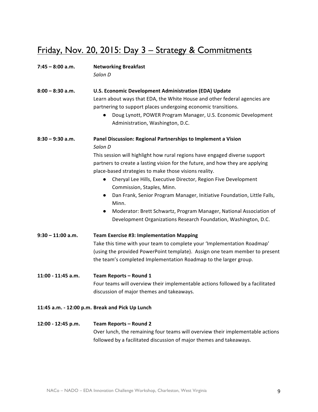# Friday, Nov. 20, 2015: Day 3 - Strategy & Commitments

| $7:45 - 8:00$ a.m.  | <b>Networking Breakfast</b><br>Salon D                                                                                                                                                                                                                                                                                                                                                                                                                                                                                                                                                                                                                                |
|---------------------|-----------------------------------------------------------------------------------------------------------------------------------------------------------------------------------------------------------------------------------------------------------------------------------------------------------------------------------------------------------------------------------------------------------------------------------------------------------------------------------------------------------------------------------------------------------------------------------------------------------------------------------------------------------------------|
| $8:00 - 8:30$ a.m.  | U.S. Economic Development Administration (EDA) Update<br>Learn about ways that EDA, the White House and other federal agencies are<br>partnering to support places undergoing economic transitions.<br>Doug Lynott, POWER Program Manager, U.S. Economic Development<br>Administration, Washington, D.C.                                                                                                                                                                                                                                                                                                                                                              |
| $8:30 - 9:30$ a.m.  | Panel Discussion: Regional Partnerships to Implement a Vision<br>Salon D<br>This session will highlight how rural regions have engaged diverse support<br>partners to create a lasting vision for the future, and how they are applying<br>place-based strategies to make those visions reality.<br>Cheryal Lee Hills, Executive Director, Region Five Development<br>$\bullet$<br>Commission, Staples, Minn.<br>Dan Frank, Senior Program Manager, Initiative Foundation, Little Falls,<br>$\bullet$<br>Minn.<br>Moderator: Brett Schwartz, Program Manager, National Association of<br>$\bullet$<br>Development Organizations Research Foundation, Washington, D.C. |
| $9:30 - 11:00$ a.m. | <b>Team Exercise #3: Implementation Mapping</b><br>Take this time with your team to complete your 'Implementation Roadmap'<br>(using the provided PowerPoint template). Assign one team member to present<br>the team's completed Implementation Roadmap to the larger group.                                                                                                                                                                                                                                                                                                                                                                                         |
| 11:00 - 11:45 a.m.  | Team Reports - Round 1<br>Four teams will overview their implementable actions followed by a facilitated<br>discussion of major themes and takeaways.                                                                                                                                                                                                                                                                                                                                                                                                                                                                                                                 |
|                     | 11:45 a.m. - 12:00 p.m. Break and Pick Up Lunch                                                                                                                                                                                                                                                                                                                                                                                                                                                                                                                                                                                                                       |
| 12:00 - 12:45 p.m.  | Team Reports - Round 2<br>Over lunch, the remaining four teams will overview their implementable actions<br>followed by a facilitated discussion of major themes and takeaways.                                                                                                                                                                                                                                                                                                                                                                                                                                                                                       |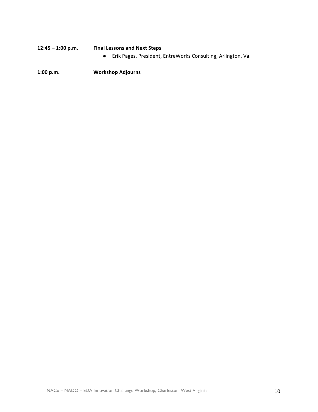## 12:45 - 1:00 p.m. Final Lessons and Next Steps ● Erik Pages, President, EntreWorks Consulting, Arlington, Va.

**1:00 p.m. Workshop Adjourns**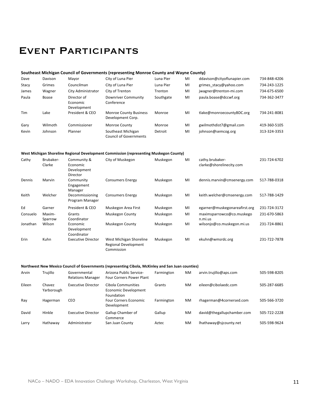# Event Participants

#### **Southeast Michigan Council of Governments (representing Monroe County and Wayne County)**

| Dave       | Davison | Mayor                                  | City of Luna Pier                                   | Luna Pier | MI | ddavison@cityoflunapier.com | 734-848-4206 |
|------------|---------|----------------------------------------|-----------------------------------------------------|-----------|----|-----------------------------|--------------|
| Stacy      | Grimes  | Councilman                             | City of Luna Pier                                   | Luna Pier | MI | grimes stacy@yahoo.com      | 734-243-1225 |
| James      | Wagner  | City Administrator                     | City of Trenton                                     | Trenton   | MI | jwagner@trenton-mi.com      | 734-675-6500 |
| Paula      | Boase   | Director of<br>Economic<br>Development | <b>Downriver Community</b><br>Conference            | Southgate | MI | paula.boase@dccwf.org       | 734-362-3477 |
| <b>Tim</b> | Lake    | President & CEO                        | <b>Monroe County Business</b><br>Development Corp.  | Monroe    | MI | tlake@monroecountyBDC.org   | 734-241-8081 |
| Gary       | Wilmoth | Commissioner                           | Monroe County                                       | Monroe    | MI | gwilmothdist7@gmail.com     | 419-360-5105 |
| Kevin      | Johnson | Planner                                | Southeast Michigan<br><b>Council of Governments</b> | Detroit   | MI | johnson@semcog.org          | 313-324-3353 |

#### West Michigan Shoreline Regional Development Commission (representing Muskegon County)

| Cathy    | Brubaker-<br>Clarke | Community &<br>Economic<br>Development<br>Director | City of Muskegon                                                     | Muskegon | MI | cathy.brubaker-<br>clarke@shorelinecity.com | 231-724-6702 |
|----------|---------------------|----------------------------------------------------|----------------------------------------------------------------------|----------|----|---------------------------------------------|--------------|
| Dennis   | Marvin              | Community<br>Engagement<br>Manager                 | <b>Consumers Energy</b>                                              | Muskegon | MI | dennis.marvin@cmsenergy.com                 | 517-788-0318 |
| Keith    | Welcher             | Decommissioning<br>Program Manager                 | <b>Consumers Energy</b>                                              | Muskegon | MI | keith.welcher@cmsenergy.com                 | 517-788-1429 |
| Ed       | Garner              | President & CEO                                    | Muskegon Area First                                                  | Muskegon | MI | egarner@muskegonareafirst.org               | 231-724-3172 |
| Consuelo | Maxim-<br>Sparrow   | Grants<br>Coordinator                              | Muskegon County                                                      | Muskegon | MI | maximsparrowco@co.muskego<br>n.mi.us        | 231-670-5863 |
| Jonathan | Wilson              | Economic<br>Development<br>Coordinator             | Muskegon County                                                      | Muskegon | MI | wilsonjo@co.muskegon.mi.us                  | 231-724-8861 |
| Erin     | Kuhn                | <b>Executive Director</b>                          | West Michigan Shoreline<br><b>Regional Development</b><br>Commission | Muskegon | MI | ekuhn@wmsrdc.org                            | 231-722-7878 |

#### Northwest New Mexico Council of Governments (representing Cibola, McKinley and San Juan counties)

| Arvin  | Trujillo             | Governmental<br><b>Relations Manager</b> | Arizona Public Service-<br><b>Four Corners Power Plant</b>      | Farmington | <b>NM</b> | arvin.trujillo@aps.com     | 505-598-8205 |
|--------|----------------------|------------------------------------------|-----------------------------------------------------------------|------------|-----------|----------------------------|--------------|
| Eileen | Chavez<br>Yarborough | Executive Director                       | Cibola Communities<br>Economic Development<br><b>Foundation</b> | Grants     | <b>NM</b> | eileen@cibolaedc.com       | 505-287-6685 |
| Ray    | Hagerman             | CEO                                      | <b>Four Corners Economic</b><br>Development                     | Farmington | <b>NM</b> | rhagerman@4cornersed.com   | 505-566-3720 |
| David  | Hinkle               | Executive Director                       | Gallup Chamber of<br>Commerce                                   | Gallup     | <b>NM</b> | david@thegallupchamber.com | 505-722-2228 |
| Larry  | Hathaway             | Administrator                            | San Juan County                                                 | Aztec      | <b>NM</b> | lhathaway@sjcounty.net     | 505-598-9624 |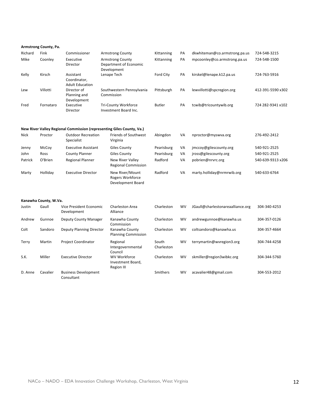|             | Armstrong County, Pa. |                                                     |                                                                       |                     |    |                                   |                   |
|-------------|-----------------------|-----------------------------------------------------|-----------------------------------------------------------------------|---------------------|----|-----------------------------------|-------------------|
| Richard     | Fink                  | Commissioner                                        | <b>Armstrong County</b>                                               | Kittanning          | PA | dkwhiteman@co.armstrong.pa.us     | 724-548-3215      |
| Mike        | Coonley               | Executive<br>Director                               | <b>Armstrong County</b><br>Department of Economic<br>Development      | Kittanning          | PA | mpcoonley@co.armstrong.pa.us      | 724-548-1500      |
| Kelly       | Kirsch                | Assistant<br>Coordinator,<br><b>Adult Education</b> | Lenape Tech                                                           | <b>Ford City</b>    | PA | kirskel@lenape.k12.pa.us          | 724-763-5916      |
| Lew         | Villotti              | Director of<br>Planning and<br>Development          | Southwestern Pennsylvania<br>Commission                               | Pittsburgh          | PA | lewvillotti@spcregion.org         | 412-391-5590 x302 |
| Fred        | Fornataro             | Executive<br>Director                               | Tri-County Workforce<br>Investment Board Inc.                         | <b>Butler</b>       | PA | tcwib@tricountywib.org            | 724 282-9341 x102 |
|             |                       |                                                     | New River Valley Regional Commission (representing Giles County, Va.) |                     |    |                                   |                   |
| <b>Nick</b> | Proctor               | <b>Outdoor Recreation</b><br>Specialist             | <b>Friends of Southwest</b><br>Virginia                               | Abingdon            | VA | nproctor@myswva.org               | 276-492-2412      |
| Jenny       | McCoy                 | <b>Executive Assistant</b>                          | <b>Giles County</b>                                                   | Pearisburg          | VA | jmccoy@gilescounty.org            | 540-921-2525      |
| John        | Ross                  | <b>County Planner</b>                               | <b>Giles County</b>                                                   | Pearisburg          | VA | jross@gilescounty.org             | 540-921-2525      |
| Patrick     | O'Brien               | <b>Regional Planner</b>                             | <b>New River Valley</b><br>Regional Commission                        | Radford             | VA | pobrien@nrvrc.org                 | 540-639-9313 x206 |
| Marty       | Holliday              | <b>Executive Director</b>                           | New River/Mount<br>Rogers Workforce<br>Development Board              | Radford             | VA | marty.holliday@nrmrwib.org        | 540-633-6764      |
|             | Kanawha County, W.Va. |                                                     |                                                                       |                     |    |                                   |                   |
| Justin      | Gaull                 | Vice President Economic<br>Development              | Charleston Area<br>Alliance                                           | Charleston          | WV | JGaull@charlestonareaalliance.org | 304-340-4253      |
| Andrew      | Gunnoe                | <b>Deputy County Manager</b>                        | Kanawha County<br>Commission                                          | Charleston          | WV | andrewgunnoe@kanawha.us           | 304-357-0126      |
| Colt        | Sandoro               | <b>Deputy Planning Director</b>                     | Kanawha County<br><b>Planning Commission</b>                          | Charleston          | WV | coltsandoro@kanawha.us            | 304-357-4664      |
| Terry       | Martin                | <b>Project Coordinator</b>                          | Regional<br>Intergovernmental<br>Council                              | South<br>Charleston | WV | terrymartin@wvregion3.org         | 304-744-4258      |
| S.K.        | Miller                | <b>Executive Director</b>                           | <b>WV Workforce</b><br>Investment Board,<br><b>Region III</b>         | Charleston          | WV | skmiller@region3wibkc.org         | 304-344-5760      |
| D. Anne     | Cavalier              | <b>Business Development</b><br>Consultant           |                                                                       | Smithers            | WV | acavalier48@gmail.com             | 304-553-2012      |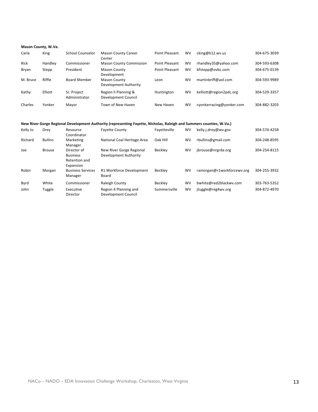#### **Mason County, W.Va.**

| Carla       | King    | <b>School Counselor</b>      | <b>Mason County Career</b><br>Center         | Point Pleasant        | <b>WV</b> | cking@k12.wv.us          | 304-675-3039 |
|-------------|---------|------------------------------|----------------------------------------------|-----------------------|-----------|--------------------------|--------------|
| <b>Rick</b> | Handley | Commissioner                 | <b>Mason County Commission</b>               | Point Pleasant        | <b>WV</b> | rhandley35@yahoo.com     | 304-593-6308 |
| Bryan       | Stepp   | President                    | <b>Mason County</b><br>Development           | <b>Point Pleasant</b> | <b>WV</b> | bfstepp@ovbc.com         | 304-675-0139 |
| M. Bruce    | Riffle  | <b>Board Member</b>          | <b>Mason County</b><br>Development Authority | Leon                  | <b>WV</b> | martinbriff@aol.com      | 304-593-9989 |
| Kathy       | Elliott | Sr. Project<br>Administrator | Region II Planning &<br>Development Council  | Huntington            | <b>WV</b> | kelliott@region2pdc.org  | 304-529-3357 |
| Charles     | Yonker  | Mayor                        | Town of New Haven                            | New Haven             | WV        | cyonkerracing@yonker.com | 304-882-3203 |

#### New River Gorge Regional Development Authority (representing Fayette, Nicholas, Raleigh and Summers counties, W.Va.)

| Kelly Jo | Drey           | Resource<br>Coordinator                                    | <b>Fayette County</b>                             | Fayetteville | WV        | kelly.j.drey@wv.gov        | 304-574-4258 |
|----------|----------------|------------------------------------------------------------|---------------------------------------------------|--------------|-----------|----------------------------|--------------|
| Richard  | <b>Bullins</b> | Marketing                                                  | National Coal Heritage Area                       | Oak Hill     | <b>WV</b> | rbullins@gmail.com         | 304-248-8595 |
| Joe      | <b>Brouse</b>  | Manager<br>Director of<br><b>Business</b><br>Retention and | New River Gorge Regional<br>Development Authority | Becklev      | <b>WV</b> | jbrouse@nrgrda.org         | 304-254-8115 |
| Robin    | Morgan         | Expansion<br><b>Business Services</b><br>Manager           | <b>R1 Workforce Development</b><br>Board          | Becklev      | <b>WV</b> | ramorgan@r1workforcewv.org | 304-255-3932 |
| Byrd     | White          | Commissioner                                               | Raleigh County                                    | Becklev      | <b>WV</b> | bwhite@red2blackwv.com     | 303-763-5352 |
| John     | Tuggle         | Executive<br>Director                                      | Region 4 Planning and<br>Development Council      | Summersville | <b>WV</b> | jtuggle@reg4wv.org         | 304-872-4970 |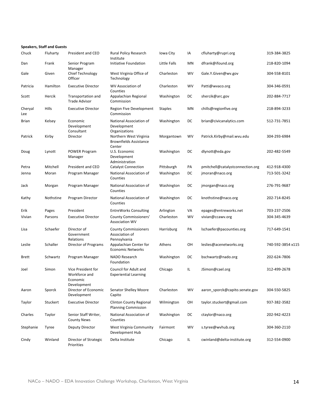|                | <b>Speakers, Staff and Guests</b> |                                                                |                                                                   |                |           |                                  |                   |
|----------------|-----------------------------------|----------------------------------------------------------------|-------------------------------------------------------------------|----------------|-----------|----------------------------------|-------------------|
| Chuck          | Fluharty                          | President and CEO                                              | Rural Policy Research<br>Institute                                | Iowa City      | IA        | cfluharty@rupri.org              | 319-384-3825      |
| Dan            | Frank                             | Senior Program<br>Manager                                      | Initiative Foundation                                             | Little Falls   | MN        | dfrank@ifound.org                | 218-820-1094      |
| Gale           | Given                             | Chief Technology<br>Officer                                    | West Virginia Office of<br>Technology                             | Charleston     | <b>WV</b> | Gale.Y.Given@wv.gov              | 304-558-8101      |
| Patricia       | Hamilton                          | <b>Executive Director</b>                                      | WV Association of<br>Counties                                     | Charleston     | <b>WV</b> | Patti@wvaco.org                  | 304-346-0591      |
| Scott          | Hercik                            | Transportation and<br><b>Trade Advisor</b>                     | Appalachian Regional<br>Commission                                | Washington     | DC        | shercik@arc.gov                  | 202-884-7717      |
| Cheryal<br>Lee | Hills                             | <b>Executive Director</b>                                      | Region Five Development<br>Commission                             | <b>Staples</b> | ΜN        | chills@regionfive.org            | 218-894-3233      |
| Brian          | Kelsey                            | Economic<br>Development<br>Consultant                          | National Association of<br>Development<br>Organizations           | Washington     | DC        | brian@civicanalytics.com         | 512-731-7851      |
| Patrick        | Kirby                             | Director                                                       | Northern West Virginia<br><b>Brownfields Assistance</b><br>Center | Morgantown     | <b>WV</b> | Patrick.Kirby@mail.wvu.edu       | 304-293-6984      |
| Doug           | Lynott                            | <b>POWER Program</b><br>Manager                                | U.S. Economic<br>Development<br>Administration                    | Washington     | DC        | dlynott@eda.gov                  | 202-482-5549      |
| Petra          | Mitchell                          | President and CEO                                              | <b>Catalyst Connection</b>                                        | Pittsburgh     | PA        | pmitchell@catalystconnection.org | 412-918-4300      |
| Jenna          | Moran                             | Program Manager                                                | National Association of<br>Counties                               | Washington     | DC        | jmoran@naco.org                  | 713-501-3242      |
| Jack           | Morgan                            | Program Manager                                                | National Association of<br>Counties                               | Washington     | DC        | jmorgan@naco.org                 | 276-791-9687      |
| Kathy          | Nothstine                         | Program Director                                               | National Association of<br>Counties                               | Washington     | DC        | knothstine@naco.org              | 202-714-8245      |
| Erik           | Pages                             | President                                                      | <b>EntreWorks Consulting</b>                                      | Arlington      | VA        | epages@entreworks.net            | 703-237-2506      |
| Vivian         | Parsons                           | <b>Executive Director</b>                                      | <b>County Commissioners'</b><br><b>Association WV</b>             | Charleston     | <b>WV</b> | vivian@ccawv.org                 | 304-345-4639      |
| Lisa           | Schaefer                          | Director of<br>Government<br>Relations                         | <b>County Commissioners</b><br>Association of<br>Pennsylvania     | Harrisburg     | PA        | lschaefer@pacounties.org         | 717-649-1541      |
| Leslie         | Schaller                          | Director of Programs                                           | Appalachian Center for<br><b>Economic Networks</b>                | Athens         | OH        | leslies@acenetworks.org          | 740-592-3854 x115 |
| Brett          | Schwartz                          | Program Manager                                                | NADO Research<br>Foundation                                       | Washington     | DC        | bschwartz@nado.org               | 202-624-7806      |
| Joel           | Simon                             | Vice President for<br>Workforce and<br>Economic<br>Development | Council for Adult and<br><b>Experiential Learning</b>             | Chicago        | IL        | JSimon@cael.org                  | 312-499-2678      |
| Aaron          | Sporck                            | Director of Economic<br>Development                            | Senator Shelley Moore<br>Capito                                   | Charleston     | WV        | aaron sporck@capito.senate.gov   | 304-550-5825      |
| Taylor         | Stuckert                          | <b>Executive Director</b>                                      | <b>Clinton County Regional</b><br><b>Planning Commission</b>      | Wilmington     | OН        | taylor.stuckert@gmail.com        | 937-382-3582      |
| Charles        | Taylor                            | Senior Staff Writer,<br><b>County News</b>                     | National Association of<br>Counties                               | Washington     | DC        | ctaylor@naco.org                 | 202-942-4223      |
| Stephanie      | Tyree                             | Deputy Director                                                | West Virginia Community<br>Development Hub                        | Fairmont       | WV        | s.tyree@wvhub.org                | 304-360-2110      |
| Cindy          | Winland                           | Director of Strategic<br><b>Priorities</b>                     | Delta Institute                                                   | Chicago        | IL.       | cwinland@delta-institute.org     | 312-554-0900      |